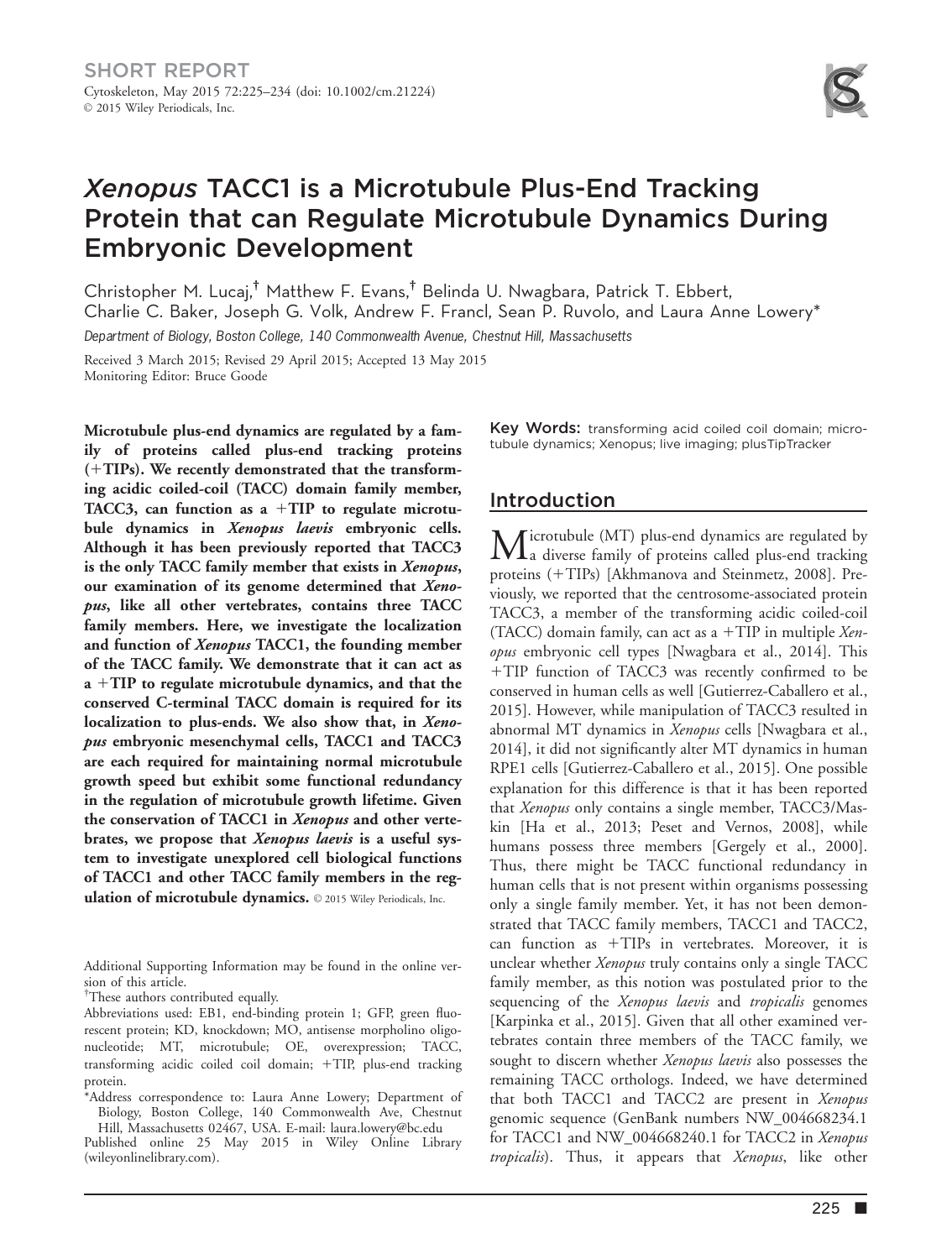

# Xenopus TACC1 is a Microtubule Plus-End Tracking Protein that can Regulate Microtubule Dynamics During Embryonic Development

Christopher M. Lucaj,† Matthew F. Evans,† Belinda U. Nwagbara, Patrick T. Ebbert, Charlie C. Baker, Joseph G. Volk, Andrew F. Francl, Sean P. Ruvolo, and Laura Anne Lowery\* Department of Biology, Boston College, 140 Commonwealth Avenue, Chestnut Hill, Massachusetts

Received 3 March 2015; Revised 29 April 2015; Accepted 13 May 2015 Monitoring Editor: Bruce Goode

Microtubule plus-end dynamics are regulated by a family of proteins called plus-end tracking proteins  $(+TIPs)$ . We recently demonstrated that the transforming acidic coiled-coil (TACC) domain family member, TACC3, can function as a  $+TIP$  to regulate microtubule dynamics in Xenopus laevis embryonic cells. Although it has been previously reported that TACC3 is the only TACC family member that exists in Xenopus, our examination of its genome determined that Xenopus, like all other vertebrates, contains three TACC family members. Here, we investigate the localization and function of Xenopus TACC1, the founding member of the TACC family. We demonstrate that it can act as  $a + TIP$  to regulate microtubule dynamics, and that the conserved C-terminal TACC domain is required for its localization to plus-ends. We also show that, in Xenopus embryonic mesenchymal cells, TACC1 and TACC3 are each required for maintaining normal microtubule growth speed but exhibit some functional redundancy in the regulation of microtubule growth lifetime. Given the conservation of TACC1 in Xenopus and other vertebrates, we propose that Xenopus laevis is a useful system to investigate unexplored cell biological functions of TACC1 and other TACC family members in the regulation of microtubule dynamics. © 2015 Wiley Periodicals, Inc.

Additional Supporting Information may be found in the online version of this article.

† These authors contributed equally.

Abbreviations used: EB1, end-binding protein 1; GFP, green fluorescent protein; KD, knockdown; MO, antisense morpholino oligonucleotide; MT, microtubule; OE, overexpression; TACC, transforming acidic coiled coil domain; +TIP, plus-end tracking protein.

\*Address correspondence to: Laura Anne Lowery; Department of Biology, Boston College, 140 Commonwealth Ave, Chestnut Hill, Massachusetts 02467, USA. E-mail: laura.lowery@bc.edu

Published online 25 May 2015 in Wiley Online Library (wileyonlinelibrary.com).

Key Words: transforming acid coiled coil domain; microtubule dynamics; Xenopus; live imaging; plusTipTracker

### Introduction

Microtubule (MT) plus-end dynamics are regulated by<br>a diverse family of proteins called plus-end tracking proteins (+TIPs) [Akhmanova and Steinmetz, 2008]. Previously, we reported that the centrosome-associated protein TACC3, a member of the transforming acidic coiled-coil (TACC) domain family, can act as a  $+TIP$  in multiple *Xen*opus embryonic cell types [Nwagbara et al., 2014]. This +TIP function of TACC3 was recently confirmed to be conserved in human cells as well [Gutierrez-Caballero et al., 2015]. However, while manipulation of TACC3 resulted in abnormal MT dynamics in Xenopus cells [Nwagbara et al., 2014], it did not significantly alter MT dynamics in human RPE1 cells [Gutierrez-Caballero et al., 2015]. One possible explanation for this difference is that it has been reported that Xenopus only contains a single member, TACC3/Maskin [Ha et al., 2013; Peset and Vernos, 2008], while humans possess three members [Gergely et al., 2000]. Thus, there might be TACC functional redundancy in human cells that is not present within organisms possessing only a single family member. Yet, it has not been demonstrated that TACC family members, TACC1 and TACC2, can function as  $+TIPs$  in vertebrates. Moreover, it is unclear whether Xenopus truly contains only a single TACC family member, as this notion was postulated prior to the sequencing of the *Xenopus laevis* and *tropicalis* genomes [Karpinka et al., 2015]. Given that all other examined vertebrates contain three members of the TACC family, we sought to discern whether Xenopus laevis also possesses the remaining TACC orthologs. Indeed, we have determined that both TACC1 and TACC2 are present in Xenopus genomic sequence (GenBank numbers NW\_004668234.1 for TACC1 and NW\_004668240.1 for TACC2 in Xenopus tropicalis). Thus, it appears that Xenopus, like other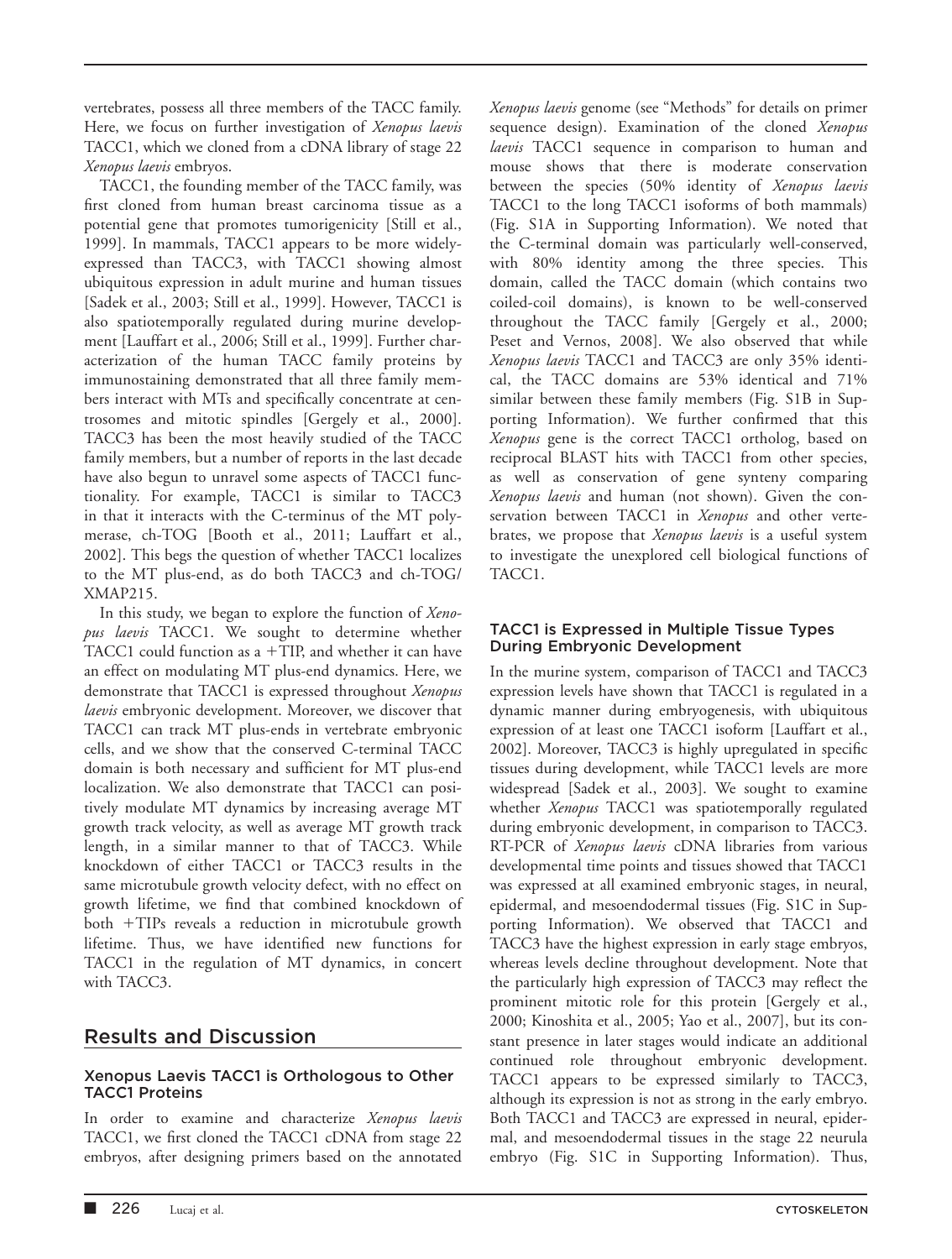vertebrates, possess all three members of the TACC family. Here, we focus on further investigation of Xenopus laevis TACC1, which we cloned from a cDNA library of stage 22 Xenopus laevis embryos.

TACC1, the founding member of the TACC family, was first cloned from human breast carcinoma tissue as a potential gene that promotes tumorigenicity [Still et al., 1999]. In mammals, TACC1 appears to be more widelyexpressed than TACC3, with TACC1 showing almost ubiquitous expression in adult murine and human tissues [Sadek et al., 2003; Still et al., 1999]. However, TACC1 is also spatiotemporally regulated during murine development [Lauffart et al., 2006; Still et al., 1999]. Further characterization of the human TACC family proteins by immunostaining demonstrated that all three family members interact with MTs and specifically concentrate at centrosomes and mitotic spindles [Gergely et al., 2000]. TACC3 has been the most heavily studied of the TACC family members, but a number of reports in the last decade have also begun to unravel some aspects of TACC1 functionality. For example, TACC1 is similar to TACC3 in that it interacts with the C-terminus of the MT polymerase, ch-TOG [Booth et al., 2011; Lauffart et al., 2002]. This begs the question of whether TACC1 localizes to the MT plus-end, as do both TACC3 and ch-TOG/ XMAP215.

In this study, we began to explore the function of Xenopus laevis TACC1. We sought to determine whether TACC1 could function as a  $+TIP$ , and whether it can have an effect on modulating MT plus-end dynamics. Here, we demonstrate that TACC1 is expressed throughout Xenopus laevis embryonic development. Moreover, we discover that TACC1 can track MT plus-ends in vertebrate embryonic cells, and we show that the conserved C-terminal TACC domain is both necessary and sufficient for MT plus-end localization. We also demonstrate that TACC1 can positively modulate MT dynamics by increasing average MT growth track velocity, as well as average MT growth track length, in a similar manner to that of TACC3. While knockdown of either TACC1 or TACC3 results in the same microtubule growth velocity defect, with no effect on growth lifetime, we find that combined knockdown of both +TIPs reveals a reduction in microtubule growth lifetime. Thus, we have identified new functions for TACC1 in the regulation of MT dynamics, in concert with TACC3.

### Results and Discussion

### Xenopus Laevis TACC1 is Orthologous to Other TACC1 Proteins

In order to examine and characterize Xenopus laevis TACC1, we first cloned the TACC1 cDNA from stage 22 embryos, after designing primers based on the annotated Xenopus laevis genome (see "Methods" for details on primer sequence design). Examination of the cloned Xenopus laevis TACC1 sequence in comparison to human and mouse shows that there is moderate conservation between the species (50% identity of Xenopus laevis TACC1 to the long TACC1 isoforms of both mammals) (Fig. S1A in Supporting Information). We noted that the C-terminal domain was particularly well-conserved, with 80% identity among the three species. This domain, called the TACC domain (which contains two coiled-coil domains), is known to be well-conserved throughout the TACC family [Gergely et al., 2000; Peset and Vernos, 2008]. We also observed that while Xenopus laevis TACC1 and TACC3 are only 35% identical, the TACC domains are 53% identical and 71% similar between these family members (Fig. S1B in Supporting Information). We further confirmed that this Xenopus gene is the correct TACC1 ortholog, based on reciprocal BLAST hits with TACC1 from other species, as well as conservation of gene synteny comparing Xenopus laevis and human (not shown). Given the conservation between TACC1 in Xenopus and other vertebrates, we propose that Xenopus laevis is a useful system to investigate the unexplored cell biological functions of TACC1.

### TACC1 is Expressed in Multiple Tissue Types During Embryonic Development

In the murine system, comparison of TACC1 and TACC3 expression levels have shown that TACC1 is regulated in a dynamic manner during embryogenesis, with ubiquitous expression of at least one TACC1 isoform [Lauffart et al., 2002]. Moreover, TACC3 is highly upregulated in specific tissues during development, while TACC1 levels are more widespread [Sadek et al., 2003]. We sought to examine whether Xenopus TACC1 was spatiotemporally regulated during embryonic development, in comparison to TACC3. RT-PCR of Xenopus laevis cDNA libraries from various developmental time points and tissues showed that TACC1 was expressed at all examined embryonic stages, in neural, epidermal, and mesoendodermal tissues (Fig. S1C in Supporting Information). We observed that TACC1 and TACC3 have the highest expression in early stage embryos, whereas levels decline throughout development. Note that the particularly high expression of TACC3 may reflect the prominent mitotic role for this protein [Gergely et al., 2000; Kinoshita et al., 2005; Yao et al., 2007], but its constant presence in later stages would indicate an additional continued role throughout embryonic development. TACC1 appears to be expressed similarly to TACC3, although its expression is not as strong in the early embryo. Both TACC1 and TACC3 are expressed in neural, epidermal, and mesoendodermal tissues in the stage 22 neurula embryo (Fig. S1C in Supporting Information). Thus,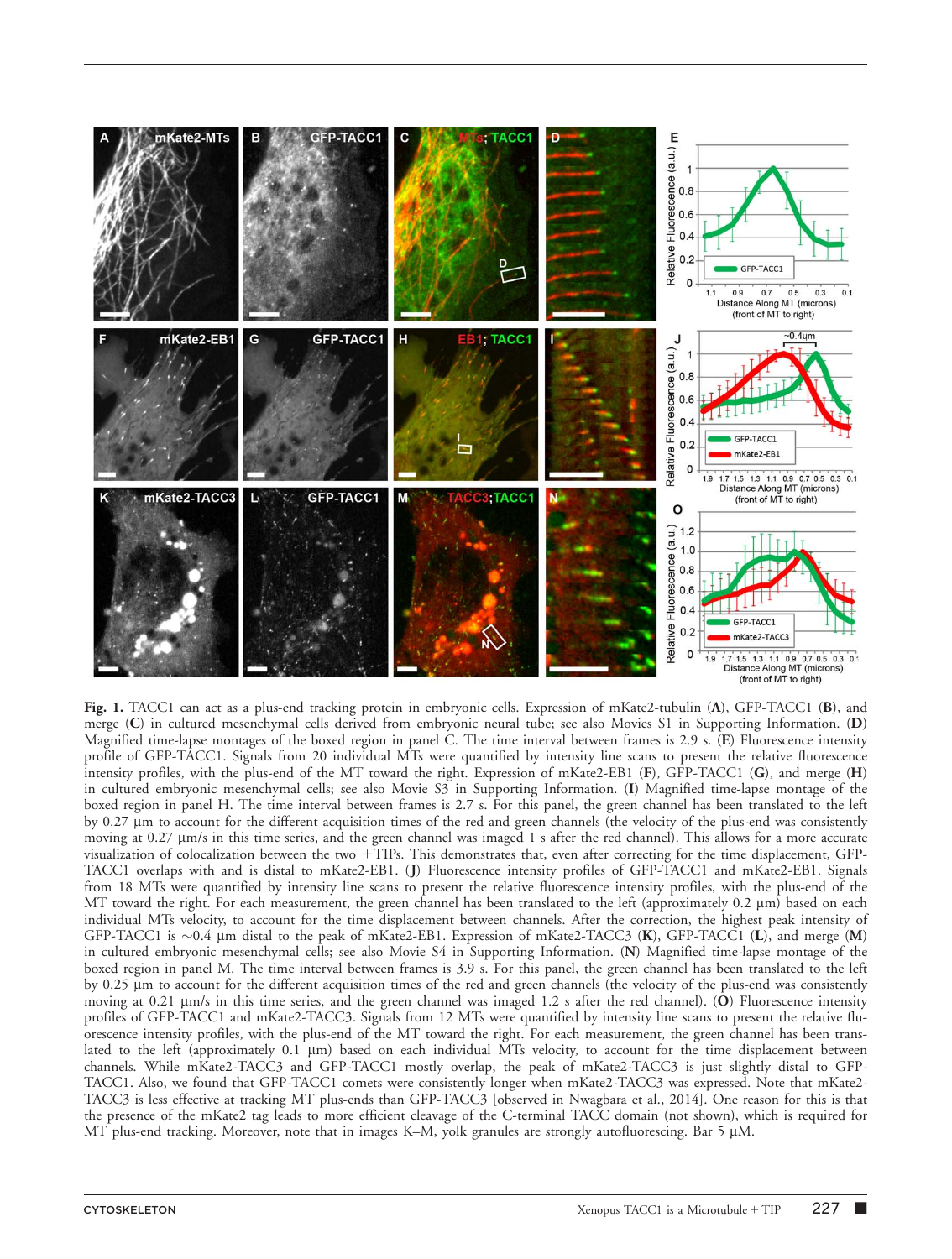

Fig. 1. TACC1 can act as a plus-end tracking protein in embryonic cells. Expression of mKate2-tubulin (A), GFP-TACC1 (B), and merge (C) in cultured mesenchymal cells derived from embryonic neural tube; see also Movies S1 in Supporting Information. (D) Magnified time-lapse montages of the boxed region in panel C. The time interval between frames is 2.9 s. (E) Fluorescence intensity profile of GFP-TACC1. Signals from 20 individual MTs were quantified by intensity line scans to present the relative fluorescence intensity profiles, with the plus-end of the MT toward the right. Expression of mKate2-EB1 (F), GFP-TACC1 (G), and merge (H) in cultured embryonic mesenchymal cells; see also Movie S3 in Supporting Information. (I) Magnified time-lapse montage of the boxed region in panel H. The time interval between frames is 2.7 s. For this panel, the green channel has been translated to the left by 0.27 mm to account for the different acquisition times of the red and green channels (the velocity of the plus-end was consistently moving at 0.27  $\mu$ m/s in this time series, and the green channel was imaged 1 s after the red channel). This allows for a more accurate visualization of colocalization between the two 1TIPs. This demonstrates that, even after correcting for the time displacement, GFP-TACC1 overlaps with and is distal to mKate2-EB1. (J) Fluorescence intensity profiles of GFP-TACC1 and mKate2-EB1. Signals from 18 MTs were quantified by intensity line scans to present the relative fluorescence intensity profiles, with the plus-end of the MT toward the right. For each measurement, the green channel has been translated to the left (approximately 0.2  $\mu$ m) based on each individual MTs velocity, to account for the time displacement between channels. After the correction, the highest peak intensity of GFP-TACC1 is  $\sim$ 0.4 µm distal to the peak of mKate2-EB1. Expression of mKate2-TACC3 (K), GFP-TACC1 (L), and merge (M) in cultured embryonic mesenchymal cells; see also Movie S4 in Supporting Information. (N) Magnified time-lapse montage of the boxed region in panel M. The time interval between frames is 3.9 s. For this panel, the green channel has been translated to the left by 0.25 lm to account for the different acquisition times of the red and green channels (the velocity of the plus-end was consistently moving at 0.21  $\mu$ m/s in this time series, and the green channel was imaged 1.2 s after the red channel). (O) Fluorescence intensity profiles of GFP-TACC1 and mKate2-TACC3. Signals from 12 MTs were quantified by intensity line scans to present the relative fluorescence intensity profiles, with the plus-end of the MT toward the right. For each measurement, the green channel has been translated to the left (approximately  $0.1 \mu m$ ) based on each individual MTs velocity, to account for the time displacement between channels. While mKate2-TACC3 and GFP-TACC1 mostly overlap, the peak of mKate2-TACC3 is just slightly distal to GFP-TACC1. Also, we found that GFP-TACC1 comets were consistently longer when mKate2-TACC3 was expressed. Note that mKate2- TACC3 is less effective at tracking MT plus-ends than GFP-TACC3 [observed in Nwagbara et al., 2014]. One reason for this is that the presence of the mKate2 tag leads to more efficient cleavage of the C-terminal TACC domain (not shown), which is required for MT plus-end tracking. Moreover, note that in images K–M, yolk granules are strongly autofluorescing. Bar 5 µM.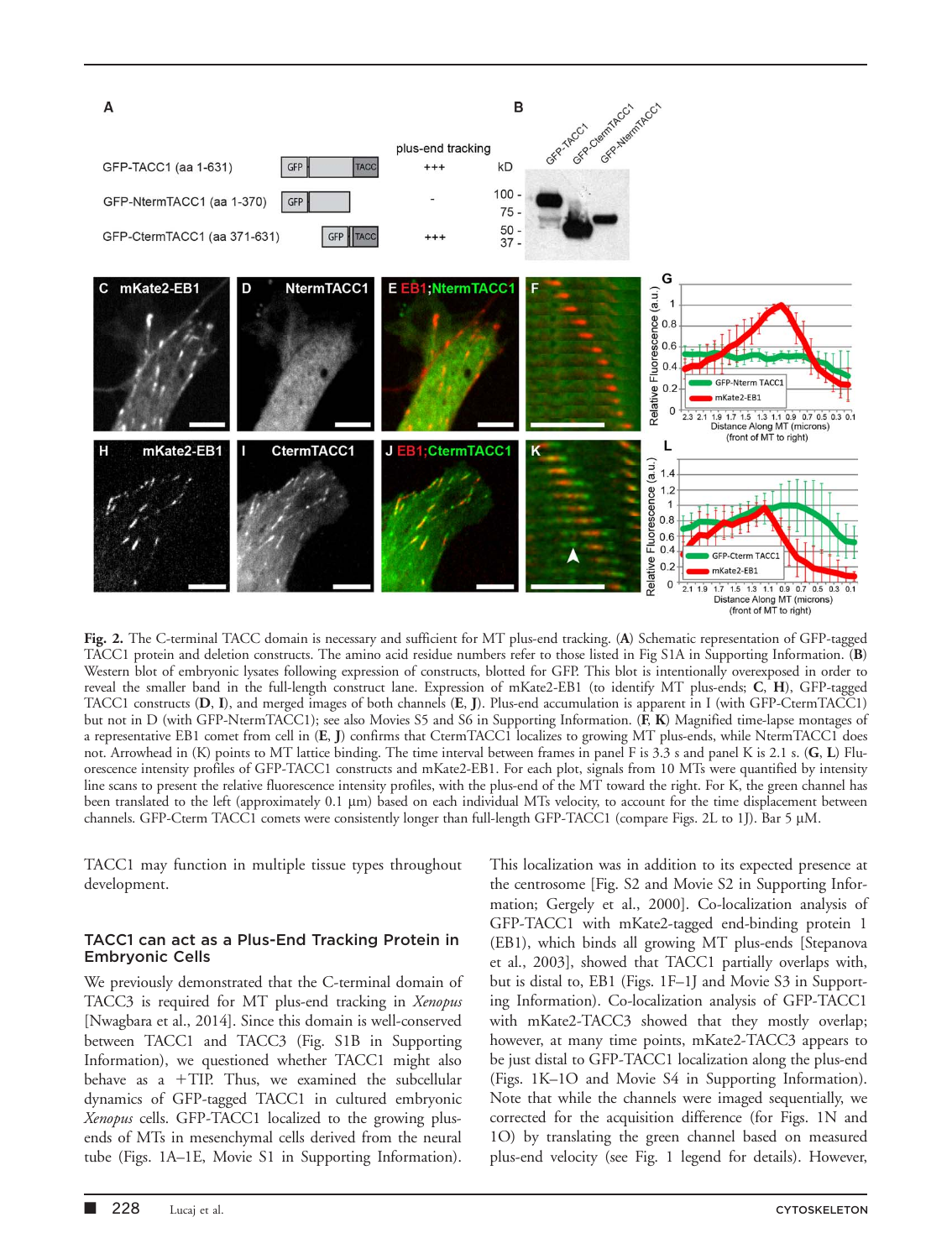

Fig. 2. The C-terminal TACC domain is necessary and sufficient for MT plus-end tracking. (A) Schematic representation of GFP-tagged TACC1 protein and deletion constructs. The amino acid residue numbers refer to those listed in Fig S1A in Supporting Information. (B) Western blot of embryonic lysates following expression of constructs, blotted for GFP. This blot is intentionally overexposed in order to reveal the smaller band in the full-length construct lane. Expression of mKate2-EB1 (to identify MT plus-ends; C, H), GFP-tagged TACC1 constructs (D, I), and merged images of both channels (E, J). Plus-end accumulation is apparent in I (with GFP-CtermTACC1) but not in D (with GFP-NtermTACC1); see also Movies S5 and S6 in Supporting Information. (F, K) Magnified time-lapse montages of a representative EB1 comet from cell in (E, J) confirms that CtermTACC1 localizes to growing MT plus-ends, while NtermTACC1 does not. Arrowhead in (K) points to MT lattice binding. The time interval between frames in panel F is 3.3 s and panel K is 2.1 s. (G, L) Fluorescence intensity profiles of GFP-TACC1 constructs and mKate2-EB1. For each plot, signals from 10 MTs were quantified by intensity line scans to present the relative fluorescence intensity profiles, with the plus-end of the MT toward the right. For K, the green channel has been translated to the left (approximately 0.1 µm) based on each individual MTs velocity, to account for the time displacement between channels. GFP-Cterm TACC1 comets were consistently longer than full-length GFP-TACC1 (compare Figs. 2L to 1J). Bar 5 µM.

TACC1 may function in multiple tissue types throughout development.

#### TACC1 can act as a Plus-End Tracking Protein in Embryonic Cells

We previously demonstrated that the C-terminal domain of TACC3 is required for MT plus-end tracking in Xenopus [Nwagbara et al., 2014]. Since this domain is well-conserved between TACC1 and TACC3 (Fig. S1B in Supporting Information), we questioned whether TACC1 might also behave as a  $+$ TIP. Thus, we examined the subcellular dynamics of GFP-tagged TACC1 in cultured embryonic Xenopus cells. GFP-TACC1 localized to the growing plusends of MTs in mesenchymal cells derived from the neural tube (Figs. 1A–1E, Movie S1 in Supporting Information).

This localization was in addition to its expected presence at the centrosome [Fig. S2 and Movie S2 in Supporting Information; Gergely et al., 2000]. Co-localization analysis of GFP-TACC1 with mKate2-tagged end-binding protein 1 (EB1), which binds all growing MT plus-ends [Stepanova et al., 2003], showed that TACC1 partially overlaps with, but is distal to, EB1 (Figs. 1F–1J and Movie S3 in Supporting Information). Co-localization analysis of GFP-TACC1 with mKate2-TACC3 showed that they mostly overlap; however, at many time points, mKate2-TACC3 appears to be just distal to GFP-TACC1 localization along the plus-end (Figs. 1K–1O and Movie S4 in Supporting Information). Note that while the channels were imaged sequentially, we corrected for the acquisition difference (for Figs. 1N and 1O) by translating the green channel based on measured plus-end velocity (see Fig. 1 legend for details). However,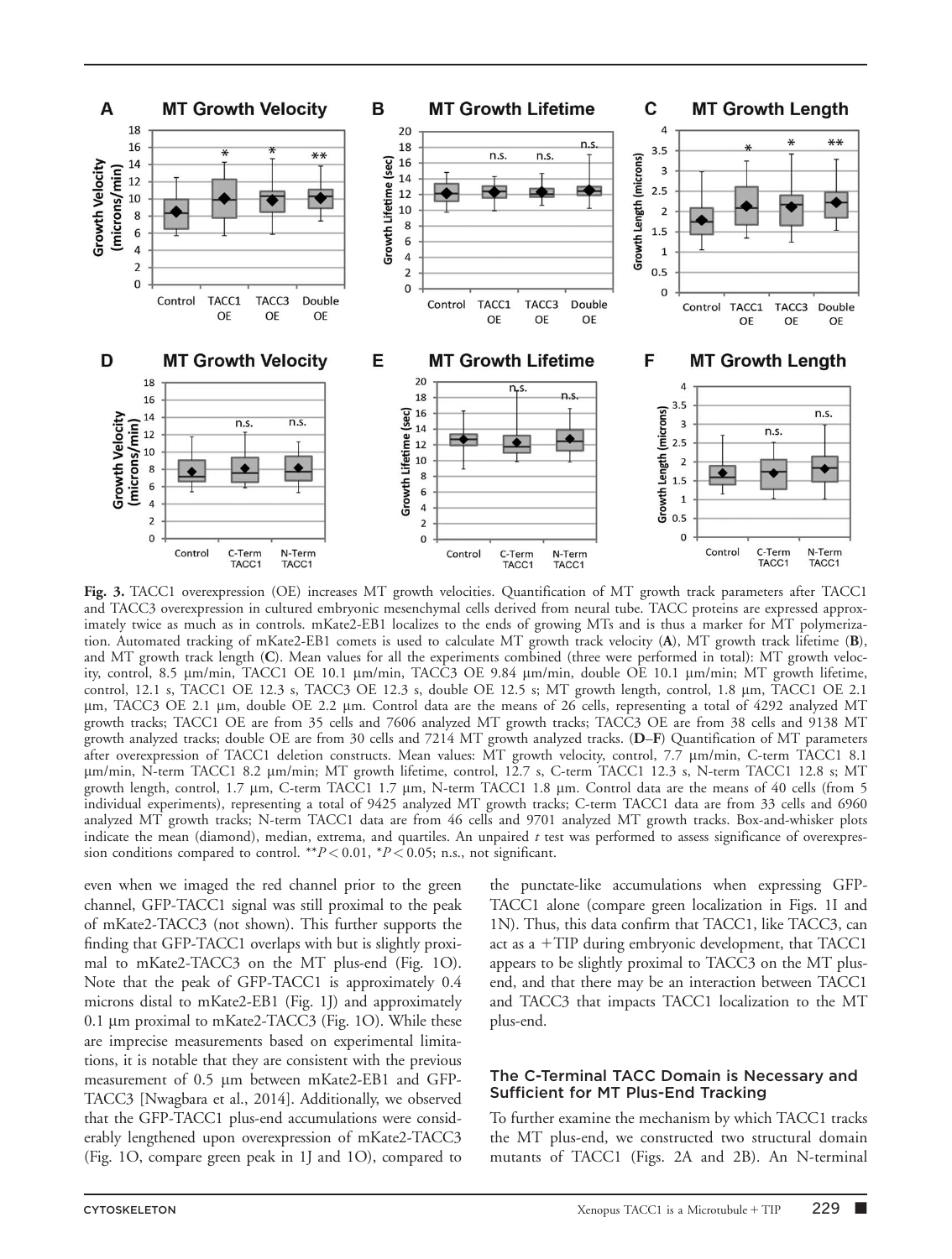

Fig. 3. TACC1 overexpression (OE) increases MT growth velocities. Quantification of MT growth track parameters after TACC1 and TACC3 overexpression in cultured embryonic mesenchymal cells derived from neural tube. TACC proteins are expressed approximately twice as much as in controls. mKate2-EB1 localizes to the ends of growing MTs and is thus a marker for MT polymerization. Automated tracking of mKate2-EB1 comets is used to calculate MT growth track velocity (A), MT growth track lifetime (B), and MT growth track length (C). Mean values for all the experiments combined (three were performed in total): MT growth velocity, control, 8.5 μm/min, TACC1 OE 10.1 μm/min, TACC3 OE 9.84 μm/min, double OE 10.1 μm/min; MT growth lifetime, control, 12.1 s, TACC1 OE 12.3 s, TACC3 OE 12.3 s, double OE 12.5 s; MT growth length, control, 1.8 mm, TACC1 OE 2.1 mm, TACC3 OE 2.1 mm, double OE 2.2 mm. Control data are the means of 26 cells, representing a total of 4292 analyzed MT growth tracks; TACC1 OE are from 35 cells and 7606 analyzed MT growth tracks; TACC3 OE are from 38 cells and 9138 MT growth analyzed tracks; double OE are from 30 cells and 7214 MT growth analyzed tracks. (D–F) Quantification of MT parameters after overexpression of TACC1 deletion constructs. Mean values: MT growth velocity, control, 7.7 mm/min, C-term TACC1 8.1 mm/min, N-term TACC1 8.2 mm/min; MT growth lifetime, control, 12.7 s, C-term TACC1 12.3 s, N-term TACC1 12.8 s; MT growth length, control, 1.7 mm, C-term TACC1 1.7 mm, N-term TACC1 1.8 mm. Control data are the means of 40 cells (from 5 individual experiments), representing a total of 9425 analyzed MT growth tracks; C-term TACC1 data are from 33 cells and 6960 analyzed MT growth tracks; N-term TACC1 data are from 46 cells and 9701 analyzed MT growth tracks. Box-and-whisker plots indicate the mean (diamond), median, extrema, and quartiles. An unpaired  $t$  test was performed to assess significance of overexpression conditions compared to control. \*\* $P < 0.01$ , \* $P < 0.05$ ; n.s., not significant.

even when we imaged the red channel prior to the green channel, GFP-TACC1 signal was still proximal to the peak of mKate2-TACC3 (not shown). This further supports the finding that GFP-TACC1 overlaps with but is slightly proximal to mKate2-TACC3 on the MT plus-end (Fig. 1O). Note that the peak of GFP-TACC1 is approximately 0.4 microns distal to mKate2-EB1 (Fig. 1J) and approximately 0.1 μm proximal to mKate2-TACC3 (Fig. 1O). While these are imprecise measurements based on experimental limitations, it is notable that they are consistent with the previous measurement of 0.5 µm between mKate2-EB1 and GFP-TACC3 [Nwagbara et al., 2014]. Additionally, we observed that the GFP-TACC1 plus-end accumulations were considerably lengthened upon overexpression of mKate2-TACC3 (Fig. 1O, compare green peak in 1J and 1O), compared to the punctate-like accumulations when expressing GFP-TACC1 alone (compare green localization in Figs. 1I and 1N). Thus, this data confirm that TACC1, like TACC3, can act as a  $+TIP$  during embryonic development, that TACC1 appears to be slightly proximal to TACC3 on the MT plusend, and that there may be an interaction between TACC1 and TACC3 that impacts TACC1 localization to the MT plus-end.

#### The C-Terminal TACC Domain is Necessary and Sufficient for MT Plus-End Tracking

To further examine the mechanism by which TACC1 tracks the MT plus-end, we constructed two structural domain mutants of TACC1 (Figs. 2A and 2B). An N-terminal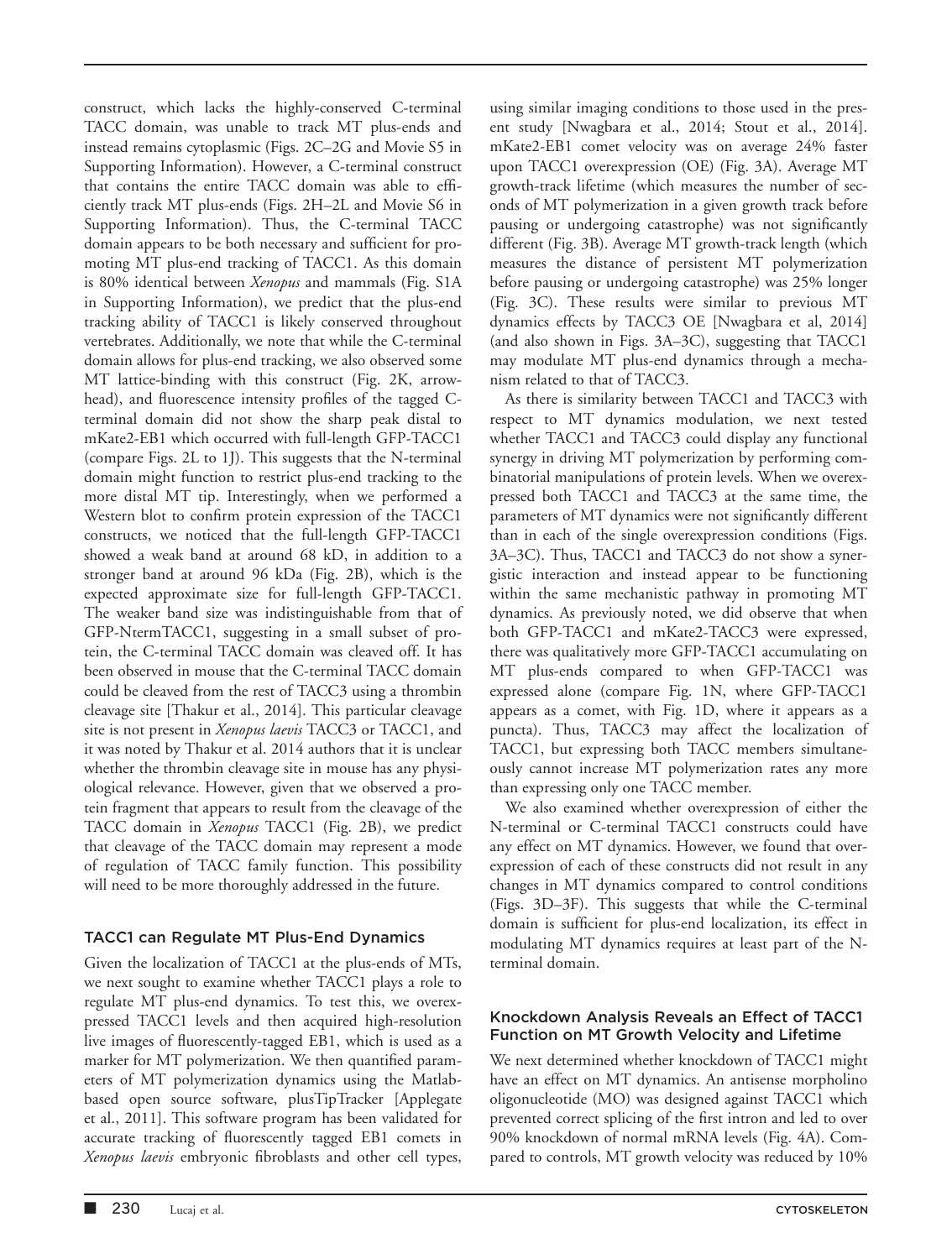construct, which lacks the highly-conserved C-terminal TACC domain, was unable to track MT plus-ends and instead remains cytoplasmic (Figs. 2C–2G and Movie S5 in Supporting Information). However, a C-terminal construct that contains the entire TACC domain was able to efficiently track MT plus-ends (Figs. 2H–2L and Movie S6 in Supporting Information). Thus, the C-terminal TACC domain appears to be both necessary and sufficient for promoting MT plus-end tracking of TACC1. As this domain is 80% identical between Xenopus and mammals (Fig. S1A in Supporting Information), we predict that the plus-end tracking ability of TACC1 is likely conserved throughout vertebrates. Additionally, we note that while the C-terminal domain allows for plus-end tracking, we also observed some MT lattice-binding with this construct (Fig. 2K, arrowhead), and fluorescence intensity profiles of the tagged Cterminal domain did not show the sharp peak distal to mKate2-EB1 which occurred with full-length GFP-TACC1 (compare Figs. 2L to 1J). This suggests that the N-terminal domain might function to restrict plus-end tracking to the more distal MT tip. Interestingly, when we performed a Western blot to confirm protein expression of the TACC1 constructs, we noticed that the full-length GFP-TACC1 showed a weak band at around 68 kD, in addition to a stronger band at around 96 kDa (Fig. 2B), which is the expected approximate size for full-length GFP-TACC1. The weaker band size was indistinguishable from that of GFP-NtermTACC1, suggesting in a small subset of protein, the C-terminal TACC domain was cleaved off. It has been observed in mouse that the C-terminal TACC domain could be cleaved from the rest of TACC3 using a thrombin cleavage site [Thakur et al., 2014]. This particular cleavage site is not present in *Xenopus laevis* TACC3 or TACC1, and it was noted by Thakur et al. 2014 authors that it is unclear whether the thrombin cleavage site in mouse has any physiological relevance. However, given that we observed a protein fragment that appears to result from the cleavage of the TACC domain in Xenopus TACC1 (Fig. 2B), we predict that cleavage of the TACC domain may represent a mode of regulation of TACC family function. This possibility will need to be more thoroughly addressed in the future.

### TACC1 can Regulate MT Plus-End Dynamics

Given the localization of TACC1 at the plus-ends of MTs, we next sought to examine whether TACC1 plays a role to regulate MT plus-end dynamics. To test this, we overexpressed TACC1 levels and then acquired high-resolution live images of fluorescently-tagged EB1, which is used as a marker for MT polymerization. We then quantified parameters of MT polymerization dynamics using the Matlabbased open source software, plusTipTracker [Applegate et al., 2011]. This software program has been validated for accurate tracking of fluorescently tagged EB1 comets in Xenopus laevis embryonic fibroblasts and other cell types, using similar imaging conditions to those used in the present study [Nwagbara et al., 2014; Stout et al., 2014]. mKate2-EB1 comet velocity was on average 24% faster upon TACC1 overexpression (OE) (Fig. 3A). Average MT growth-track lifetime (which measures the number of seconds of MT polymerization in a given growth track before pausing or undergoing catastrophe) was not significantly different (Fig. 3B). Average MT growth-track length (which measures the distance of persistent MT polymerization before pausing or undergoing catastrophe) was 25% longer (Fig. 3C). These results were similar to previous MT dynamics effects by TACC3 OE [Nwagbara et al, 2014] (and also shown in Figs. 3A–3C), suggesting that TACC1 may modulate MT plus-end dynamics through a mechanism related to that of TACC3.

As there is similarity between TACC1 and TACC3 with respect to MT dynamics modulation, we next tested whether TACC1 and TACC3 could display any functional synergy in driving MT polymerization by performing combinatorial manipulations of protein levels. When we overexpressed both TACC1 and TACC3 at the same time, the parameters of MT dynamics were not significantly different than in each of the single overexpression conditions (Figs. 3A–3C). Thus, TACC1 and TACC3 do not show a synergistic interaction and instead appear to be functioning within the same mechanistic pathway in promoting MT dynamics. As previously noted, we did observe that when both GFP-TACC1 and mKate2-TACC3 were expressed, there was qualitatively more GFP-TACC1 accumulating on MT plus-ends compared to when GFP-TACC1 was expressed alone (compare Fig. 1N, where GFP-TACC1 appears as a comet, with Fig. 1D, where it appears as a puncta). Thus, TACC3 may affect the localization of TACC1, but expressing both TACC members simultaneously cannot increase MT polymerization rates any more than expressing only one TACC member.

We also examined whether overexpression of either the N-terminal or C-terminal TACC1 constructs could have any effect on MT dynamics. However, we found that overexpression of each of these constructs did not result in any changes in MT dynamics compared to control conditions (Figs. 3D–3F). This suggests that while the C-terminal domain is sufficient for plus-end localization, its effect in modulating MT dynamics requires at least part of the Nterminal domain.

### Knockdown Analysis Reveals an Effect of TACC1 Function on MT Growth Velocity and Lifetime

We next determined whether knockdown of TACC1 might have an effect on MT dynamics. An antisense morpholino oligonucleotide (MO) was designed against TACC1 which prevented correct splicing of the first intron and led to over 90% knockdown of normal mRNA levels (Fig. 4A). Compared to controls, MT growth velocity was reduced by 10%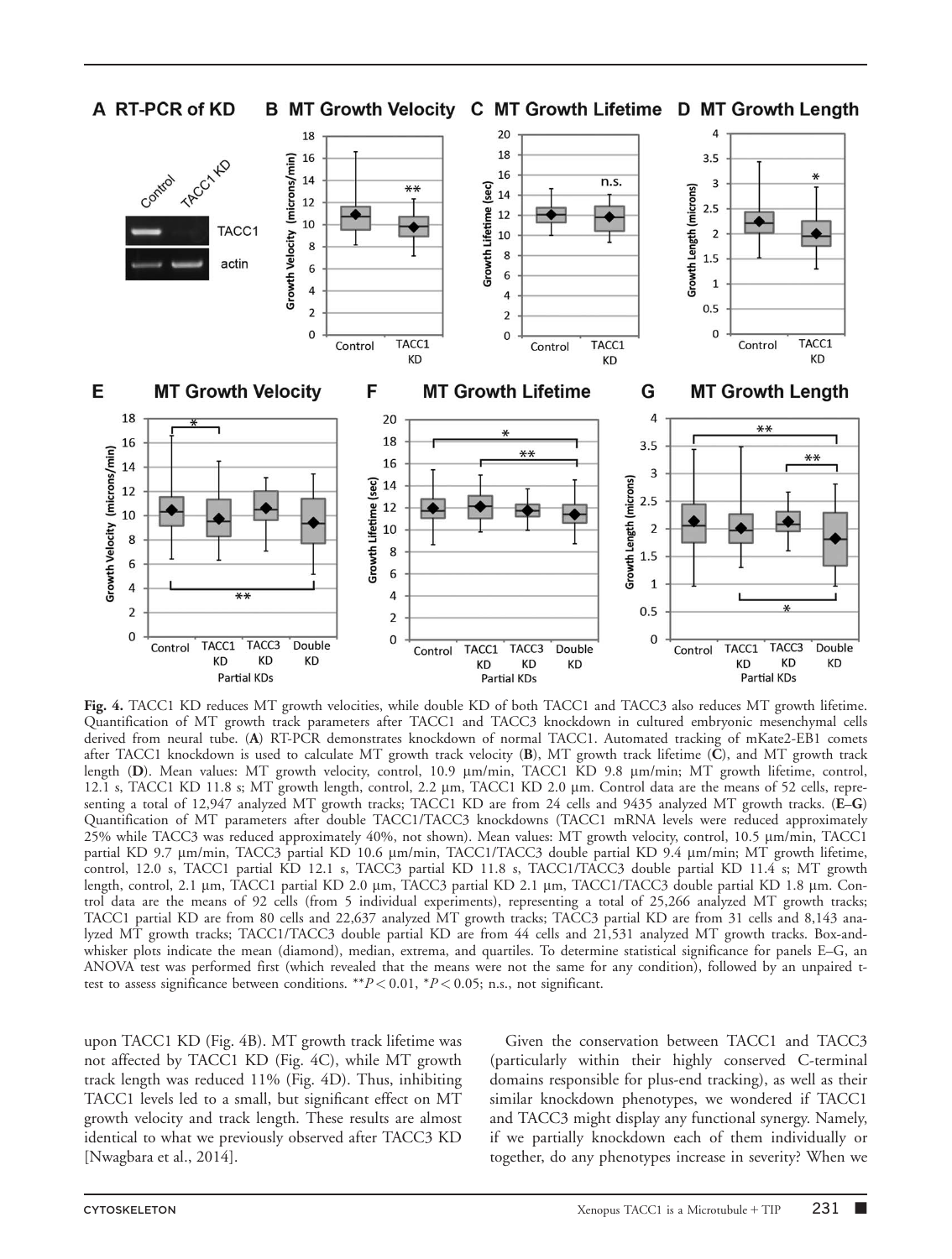

Fig. 4. TACC1 KD reduces MT growth velocities, while double KD of both TACC1 and TACC3 also reduces MT growth lifetime. Quantification of MT growth track parameters after TACC1 and TACC3 knockdown in cultured embryonic mesenchymal cells derived from neural tube. (A) RT-PCR demonstrates knockdown of normal TACC1. Automated tracking of mKate2-EB1 comets after TACC1 knockdown is used to calculate MT growth track velocity (B), MT growth track lifetime (C), and MT growth track length (D). Mean values: MT growth velocity, control, 10.9 µm/min, TACC1 KD 9.8 µm/min; MT growth lifetime, control, 12.1 s, TACC1 KD 11.8 s; MT growth length, control, 2.2 μm, TACC1 KD 2.0 μm. Control data are the means of 52 cells, representing a total of 12,947 analyzed MT growth tracks; TACC1 KD are from 24 cells and 9435 analyzed MT growth tracks. (E-G) Quantification of MT parameters after double TACC1/TACC3 knockdowns (TACC1 mRNA levels were reduced approximately 25% while TACC3 was reduced approximately 40%, not shown). Mean values: MT growth velocity, control, 10.5 mm/min, TACC1 partial KD 9.7 um/min, TACC3 partial KD 10.6 um/min, TACC1/TACC3 double partial KD 9.4 um/min; MT growth lifetime, control, 12.0 s, TACC1 partial KD 12.1 s, TACC3 partial KD 11.8 s, TACC1/TACC3 double partial KD 11.4 s; MT growth length, control, 2.1 μm, TACC1 partial KD 2.0 μm, TACC3 partial KD 2.1 μm, TACC1/TACC3 double partial KD 1.8 μm. Control data are the means of 92 cells (from 5 individual experiments), representing a total of 25,266 analyzed MT growth tracks; TACC1 partial KD are from 80 cells and 22,637 analyzed MT growth tracks; TACC3 partial KD are from 31 cells and 8,143 analyzed MT growth tracks; TACC1/TACC3 double partial KD are from 44 cells and 21,531 analyzed MT growth tracks. Box-andwhisker plots indicate the mean (diamond), median, extrema, and quartiles. To determine statistical significance for panels E–G, an ANOVA test was performed first (which revealed that the means were not the same for any condition), followed by an unpaired ttest to assess significance between conditions. \*\* $P < 0.01$ , \* $P < 0.05$ ; n.s., not significant.

upon TACC1 KD (Fig. 4B). MT growth track lifetime was not affected by TACC1 KD (Fig. 4C), while MT growth track length was reduced 11% (Fig. 4D). Thus, inhibiting TACC1 levels led to a small, but significant effect on MT growth velocity and track length. These results are almost identical to what we previously observed after TACC3 KD [Nwagbara et al., 2014].

Given the conservation between TACC1 and TACC3 (particularly within their highly conserved C-terminal domains responsible for plus-end tracking), as well as their similar knockdown phenotypes, we wondered if TACC1 and TACC3 might display any functional synergy. Namely, if we partially knockdown each of them individually or together, do any phenotypes increase in severity? When we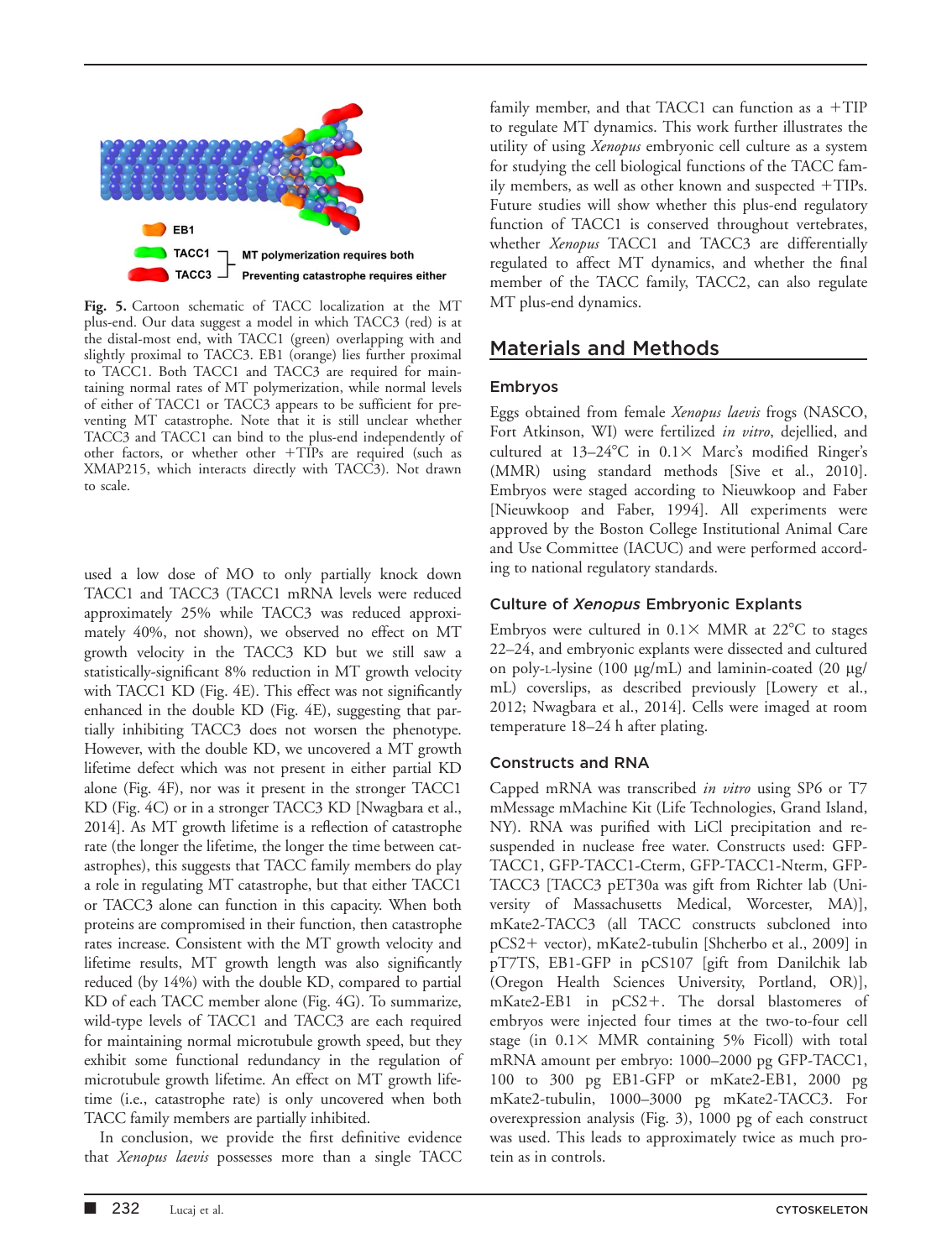

Fig. 5. Cartoon schematic of TACC localization at the MT plus-end. Our data suggest a model in which TACC3 (red) is at the distal-most end, with TACC1 (green) overlapping with and slightly proximal to TACC3. EB1 (orange) lies further proximal to TACC1. Both TACC1 and TACC3 are required for maintaining normal rates of MT polymerization, while normal levels of either of TACC1 or TACC3 appears to be sufficient for preventing MT catastrophe. Note that it is still unclear whether TACC3 and TACC1 can bind to the plus-end independently of other factors, or whether other +TIPs are required (such as XMAP215, which interacts directly with TACC3). Not drawn to scale.

used a low dose of MO to only partially knock down TACC1 and TACC3 (TACC1 mRNA levels were reduced approximately 25% while TACC3 was reduced approximately 40%, not shown), we observed no effect on MT growth velocity in the TACC3 KD but we still saw a statistically-significant 8% reduction in MT growth velocity with TACC1 KD (Fig. 4E). This effect was not significantly enhanced in the double KD (Fig. 4E), suggesting that partially inhibiting TACC3 does not worsen the phenotype. However, with the double KD, we uncovered a MT growth lifetime defect which was not present in either partial KD alone (Fig. 4F), nor was it present in the stronger TACC1 KD (Fig. 4C) or in a stronger TACC3 KD [Nwagbara et al., 2014]. As MT growth lifetime is a reflection of catastrophe rate (the longer the lifetime, the longer the time between catastrophes), this suggests that TACC family members do play a role in regulating MT catastrophe, but that either TACC1 or TACC3 alone can function in this capacity. When both proteins are compromised in their function, then catastrophe rates increase. Consistent with the MT growth velocity and lifetime results, MT growth length was also significantly reduced (by 14%) with the double KD, compared to partial KD of each TACC member alone (Fig. 4G). To summarize, wild-type levels of TACC1 and TACC3 are each required for maintaining normal microtubule growth speed, but they exhibit some functional redundancy in the regulation of microtubule growth lifetime. An effect on MT growth lifetime (i.e., catastrophe rate) is only uncovered when both TACC family members are partially inhibited.

In conclusion, we provide the first definitive evidence that *Xenopus laevis* possesses more than a single TACC family member, and that TACC1 can function as a  $+TIP$ to regulate MT dynamics. This work further illustrates the utility of using Xenopus embryonic cell culture as a system for studying the cell biological functions of the TACC family members, as well as other known and suspected  $+TIPs$ . Future studies will show whether this plus-end regulatory function of TACC1 is conserved throughout vertebrates, whether Xenopus TACC1 and TACC3 are differentially regulated to affect MT dynamics, and whether the final member of the TACC family, TACC2, can also regulate MT plus-end dynamics.

## Materials and Methods

### Embryos

Eggs obtained from female Xenopus laevis frogs (NASCO, Fort Atkinson, WI) were fertilized in vitro, dejellied, and cultured at  $13-24^{\circ}\text{C}$  in  $0.1\times$  Marc's modified Ringer's (MMR) using standard methods [Sive et al., 2010]. Embryos were staged according to Nieuwkoop and Faber [Nieuwkoop and Faber, 1994]. All experiments were approved by the Boston College Institutional Animal Care and Use Committee (IACUC) and were performed according to national regulatory standards.

### Culture of Xenopus Embryonic Explants

Embryos were cultured in  $0.1 \times$  MMR at  $22^{\circ}$ C to stages 22–24, and embryonic explants were dissected and cultured on poly-L-lysine (100  $\mu$ g/mL) and laminin-coated (20  $\mu$ g/ mL) coverslips, as described previously [Lowery et al., 2012; Nwagbara et al., 2014]. Cells were imaged at room temperature 18–24 h after plating.

### Constructs and RNA

Capped mRNA was transcribed in vitro using SP6 or T7 mMessage mMachine Kit (Life Technologies, Grand Island, NY). RNA was purified with LiCl precipitation and resuspended in nuclease free water. Constructs used: GFP-TACC1, GFP-TACC1-Cterm, GFP-TACC1-Nterm, GFP-TACC3 [TACC3 pET30a was gift from Richter lab (University of Massachusetts Medical, Worcester, MA)], mKate2-TACC3 (all TACC constructs subcloned into pCS2+ vector), mKate2-tubulin [Shcherbo et al., 2009] in pT7TS, EB1-GFP in pCS107 [gift from Danilchik lab (Oregon Health Sciences University, Portland, OR)],  $mKate2-EB1$  in  $pCS2+$ . The dorsal blastomeres of embryos were injected four times at the two-to-four cell stage (in  $0.1 \times$  MMR containing 5% Ficoll) with total mRNA amount per embryo: 1000–2000 pg GFP-TACC1, 100 to 300 pg EB1-GFP or mKate2-EB1, 2000 pg mKate2-tubulin, 1000–3000 pg mKate2-TACC3. For overexpression analysis (Fig. 3), 1000 pg of each construct was used. This leads to approximately twice as much protein as in controls.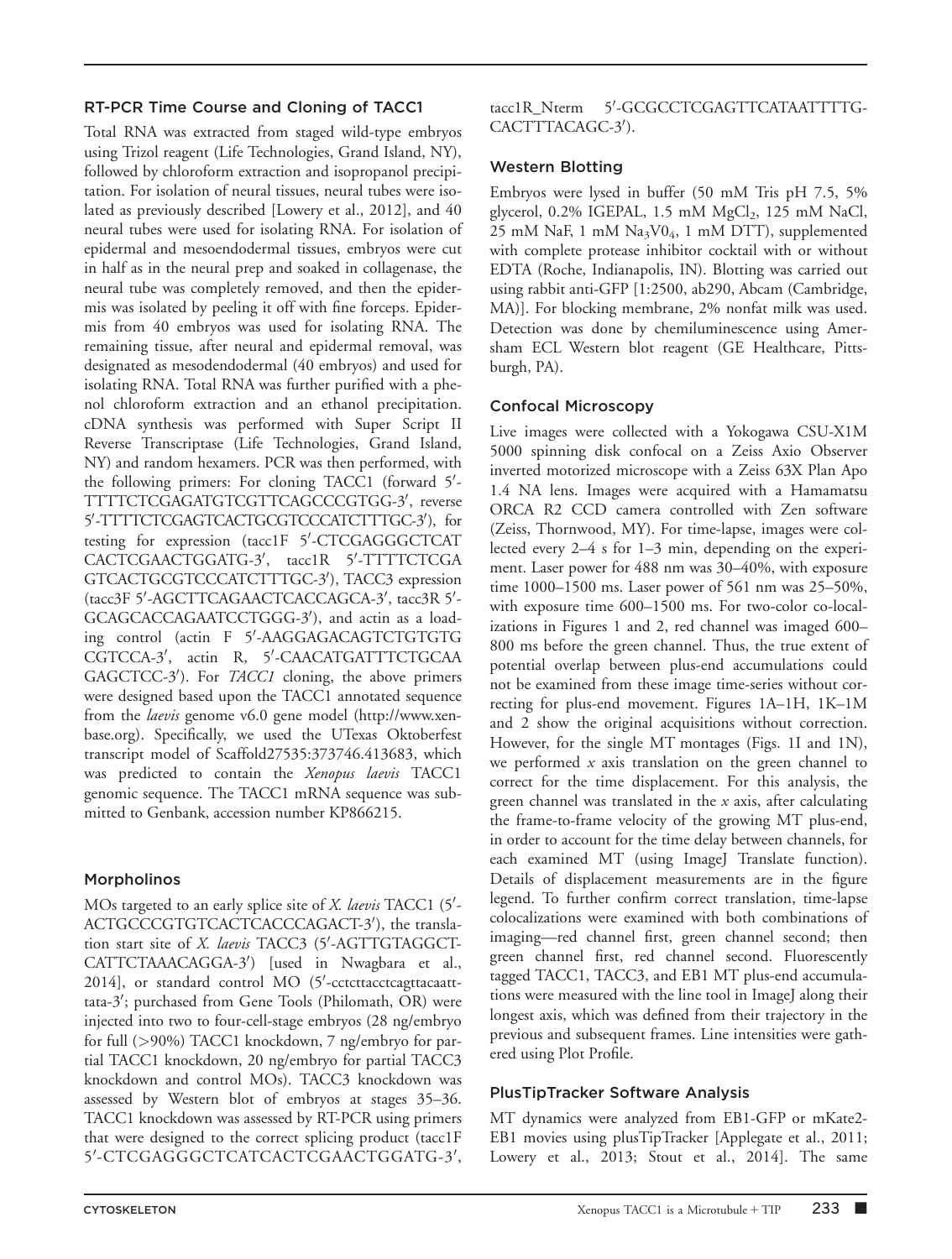### RT-PCR Time Course and Cloning of TACC1

Total RNA was extracted from staged wild-type embryos using Trizol reagent (Life Technologies, Grand Island, NY), followed by chloroform extraction and isopropanol precipitation. For isolation of neural tissues, neural tubes were isolated as previously described [Lowery et al., 2012], and 40 neural tubes were used for isolating RNA. For isolation of epidermal and mesoendodermal tissues, embryos were cut in half as in the neural prep and soaked in collagenase, the neural tube was completely removed, and then the epidermis was isolated by peeling it off with fine forceps. Epidermis from 40 embryos was used for isolating RNA. The remaining tissue, after neural and epidermal removal, was designated as mesodendodermal (40 embryos) and used for isolating RNA. Total RNA was further purified with a phenol chloroform extraction and an ethanol precipitation. cDNA synthesis was performed with Super Script II Reverse Transcriptase (Life Technologies, Grand Island, NY) and random hexamers. PCR was then performed, with the following primers: For cloning TACC1 (forward 5'-TTTTCTCGAGATGTCGTTCAGCCCGTGG-3', reverse 5'-TTTTCTCGAGTCACTGCGTCCCATCTTTGC-3'), for testing for expression (tacc1F 5'-CTCGAGGGCTCAT CACTCGAACTGGATG-3', tacc1R 5'-TTTTCTCGA GTCACTGCGTCCCATCTTTGC-3'), TACC3 expression (tacc3F 5'-AGCTTCAGAACTCACCAGCA-3', tacc3R 5'-GCAGCACCAGAATCCTGGG-3'), and actin as a loading control (actin F 5'-AAGGAGACAGTCTGTGTG CGTCCA-3', actin R, 5'-CAACATGATTTCTGCAA GAGCTCC-3'). For TACC1 cloning, the above primers were designed based upon the TACC1 annotated sequence from the *laevis* genome v6.0 gene model ([http://www.xen](http://www.xenbase.org)[base.org](http://www.xenbase.org)). Specifically, we used the UTexas Oktoberfest transcript model of Scaffold27535:373746.413683, which was predicted to contain the Xenopus laevis TACC1 genomic sequence. The TACC1 mRNA sequence was submitted to Genbank, accession number KP866215.

### Morpholinos

MOs targeted to an early splice site of X. laevis TACC1 (5'-ACTGCCCGTGTCACTCACCCAGACT-3'), the translation start site of X. laevis TACC3 (5'-AGTTGTAGGCT-CATTCTAAACAGGA-3<sup>'</sup>) [used in Nwagbara et al., 2014], or standard control MO (5'-cctcttacctcagttacaatttata-3'; purchased from Gene Tools (Philomath, OR) were injected into two to four-cell-stage embryos (28 ng/embryo for full (>90%) TACC1 knockdown, 7 ng/embryo for partial TACC1 knockdown, 20 ng/embryo for partial TACC3 knockdown and control MOs). TACC3 knockdown was assessed by Western blot of embryos at stages 35–36. TACC1 knockdown was assessed by RT-PCR using primers that were designed to the correct splicing product (tacc1F 5'-CTCGAGGGCTCATCACTCGAACTGGATG-3',

tacc1R Nterm -GCGCCTCGAGTTCATAATTTTG-CACTTTACAGC-3').

### Western Blotting

Embryos were lysed in buffer (50 mM Tris pH 7.5, 5% glycerol, 0.2% IGEPAL, 1.5 mM MgCl<sub>2</sub>, 125 mM NaCl, 25 mM NaF, 1 mM Na3V04, 1 mM DTT), supplemented with complete protease inhibitor cocktail with or without EDTA (Roche, Indianapolis, IN). Blotting was carried out using rabbit anti-GFP [1:2500, ab290, Abcam (Cambridge, MA)]. For blocking membrane, 2% nonfat milk was used. Detection was done by chemiluminescence using Amersham ECL Western blot reagent (GE Healthcare, Pittsburgh, PA).

### Confocal Microscopy

Live images were collected with a Yokogawa CSU-X1M 5000 spinning disk confocal on a Zeiss Axio Observer inverted motorized microscope with a Zeiss 63X Plan Apo 1.4 NA lens. Images were acquired with a Hamamatsu ORCA R2 CCD camera controlled with Zen software (Zeiss, Thornwood, MY). For time-lapse, images were collected every 2–4 s for 1–3 min, depending on the experiment. Laser power for 488 nm was 30–40%, with exposure time 1000–1500 ms. Laser power of 561 nm was 25–50%, with exposure time 600–1500 ms. For two-color co-localizations in Figures 1 and 2, red channel was imaged 600– 800 ms before the green channel. Thus, the true extent of potential overlap between plus-end accumulations could not be examined from these image time-series without correcting for plus-end movement. Figures 1A–1H, 1K–1M and 2 show the original acquisitions without correction. However, for the single MT montages (Figs. 1I and 1N), we performed  $x$  axis translation on the green channel to correct for the time displacement. For this analysis, the green channel was translated in the  $x$  axis, after calculating the frame-to-frame velocity of the growing MT plus-end, in order to account for the time delay between channels, for each examined MT (using ImageJ Translate function). Details of displacement measurements are in the figure legend. To further confirm correct translation, time-lapse colocalizations were examined with both combinations of imaging—red channel first, green channel second; then green channel first, red channel second. Fluorescently tagged TACC1, TACC3, and EB1 MT plus-end accumulations were measured with the line tool in ImageJ along their longest axis, which was defined from their trajectory in the previous and subsequent frames. Line intensities were gathered using Plot Profile.

### PlusTipTracker Software Analysis

MT dynamics were analyzed from EB1-GFP or mKate2- EB1 movies using plusTipTracker [Applegate et al., 2011; Lowery et al., 2013; Stout et al., 2014]. The same